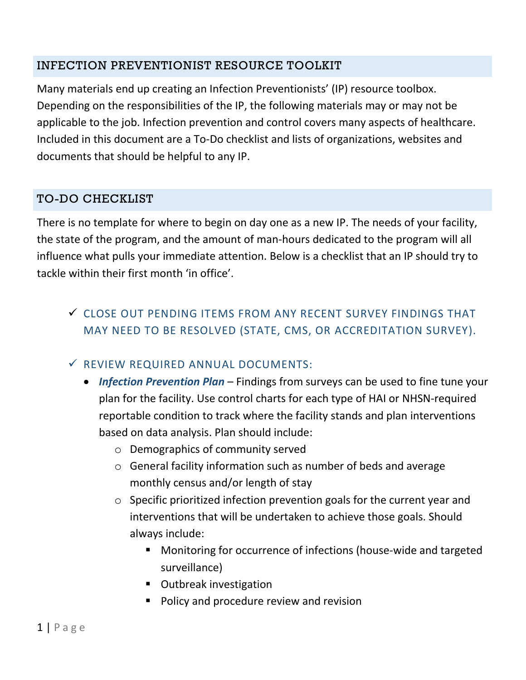### INFECTION PREVENTIONIST RESOURCE TOOLKIT

Many materials end up creating an Infection Preventionists' (IP) resource toolbox. Depending on the responsibilities of the IP, the following materials may or may not be applicable to the job. Infection prevention and control covers many aspects of healthcare. Included in this document are a To-Do checklist and lists of organizations, websites and documents that should be helpful to any IP.

### TO-DO CHECKLIST

There is no template for where to begin on day one as a new IP. The needs of your facility, the state of the program, and the amount of man-hours dedicated to the program will all influence what pulls your immediate attention. Below is a checklist that an IP should try to tackle within their first month 'in office'.

# CLOSE OUT PENDING ITEMS FROM ANY RECENT SURVEY FINDINGS THAT MAY NEED TO BE RESOLVED (STATE, CMS, OR ACCREDITATION SURVEY).

### $\checkmark$  REVIEW REQUIRED ANNUAL DOCUMENTS:

- *Infection Prevention Plan* Findings from surveys can be used to fine tune your plan for the facility. Use control charts for each type of HAI or NHSN-required reportable condition to track where the facility stands and plan interventions based on data analysis. Plan should include:
	- o Demographics of community served
	- o General facility information such as number of beds and average monthly census and/or length of stay
	- o Specific prioritized infection prevention goals for the current year and interventions that will be undertaken to achieve those goals. Should always include:
		- Monitoring for occurrence of infections (house-wide and targeted surveillance)
		- **•** Outbreak investigation
		- **Policy and procedure review and revision**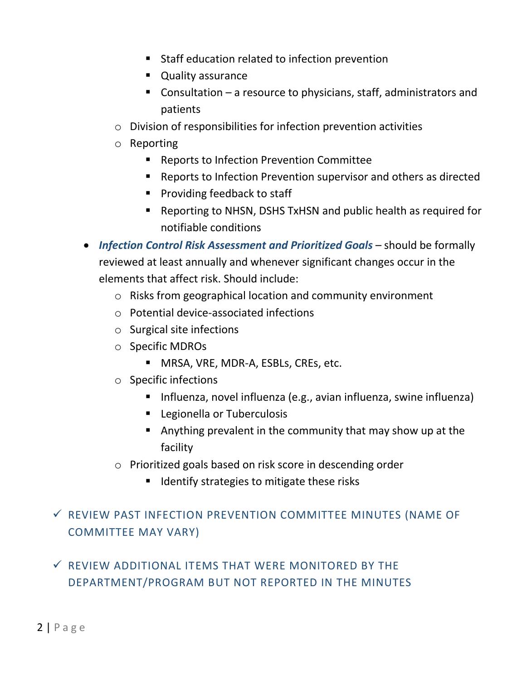- **Staff education related to infection prevention**
- **Quality assurance**
- Consultation a resource to physicians, staff, administrators and patients
- o Division of responsibilities for infection prevention activities
- o Reporting
	- Reports to Infection Prevention Committee
	- Reports to Infection Prevention supervisor and others as directed
	- **Providing feedback to staff**
	- Reporting to NHSN, DSHS TxHSN and public health as required for notifiable conditions
- *Infection Control Risk Assessment and Prioritized Goals* should be formally reviewed at least annually and whenever significant changes occur in the elements that affect risk. Should include:
	- o Risks from geographical location and community environment
	- o Potential device-associated infections
	- o Surgical site infections
	- o Specific MDROs
		- **MRSA, VRE, MDR-A, ESBLs, CREs, etc.**
	- o Specific infections
		- Influenza, novel influenza (e.g., avian influenza, swine influenza)
		- **EXEC** Legionella or Tuberculosis
		- Anything prevalent in the community that may show up at the facility
	- o Prioritized goals based on risk score in descending order
		- $\blacksquare$  Identify strategies to mitigate these risks

# $\checkmark$  REVIEW PAST INFECTION PREVENTION COMMITTEE MINUTES (NAME OF COMMITTEE MAY VARY)

# $\checkmark$  REVIEW ADDITIONAL ITEMS THAT WERE MONITORED BY THE DEPARTMENT/PROGRAM BUT NOT REPORTED IN THE MINUTES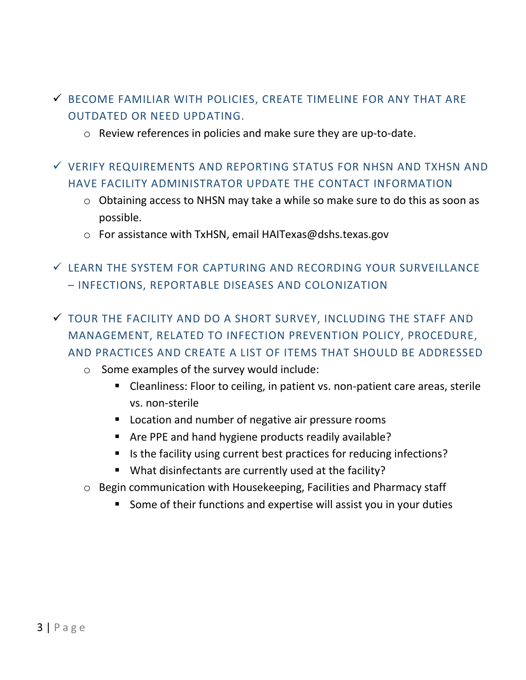- BECOME FAMILIAR WITH POLICIES, CREATE TIMELINE FOR ANY THAT ARE OUTDATED OR NEED UPDATING.
	- o Review references in policies and make sure they are up-to-date.
- $\checkmark$  verify requirements and reporting status for nhsn and txhsn and HAVE FACILITY ADMINISTRATOR UPDATE THE CONTACT INFORMATION
	- o Obtaining access to NHSN may take a while so make sure to do this as soon as possible.
	- o For assistance with TxHSN, email HAITexas@dshs.texas.gov
- LEARN THE SYSTEM FOR CAPTURING AND RECORDING YOUR SURVEILLANCE – INFECTIONS, REPORTABLE DISEASES AND COLONIZATION
- TOUR THE FACILITY AND DO A SHORT SURVEY, INCLUDING THE STAFF AND MANAGEMENT, RELATED TO INFECTION PREVENTION POLICY, PROCEDURE, AND PRACTICES AND CREATE A LIST OF ITEMS THAT SHOULD BE ADDRESSED
	- o Some examples of the survey would include:
		- Cleanliness: Floor to ceiling, in patient vs. non-patient care areas, sterile vs. non-sterile
		- **Location and number of negative air pressure rooms**
		- **E** Are PPE and hand hygiene products readily available?
		- Is the facility using current best practices for reducing infections?
		- What disinfectants are currently used at the facility?
	- o Begin communication with Housekeeping, Facilities and Pharmacy staff
		- Some of their functions and expertise will assist you in your duties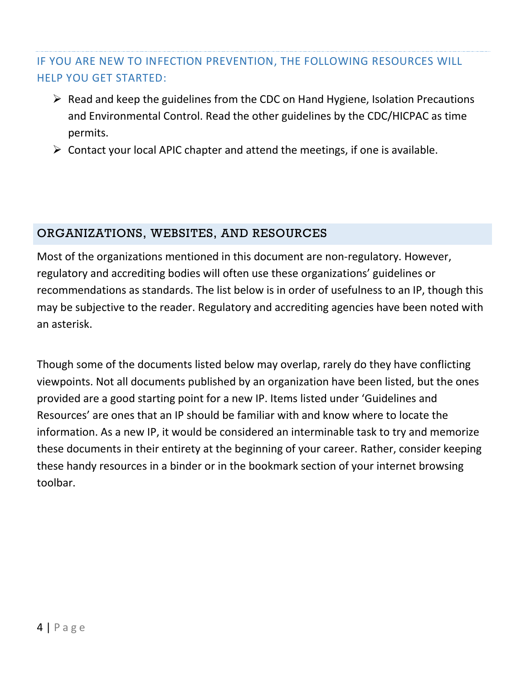## IF YOU ARE NEW TO INFECTION PREVENTION, THE FOLLOWING RESOURCES WILL HELP YOU GET STARTED:

- $\triangleright$  Read and keep the guidelines from the CDC on Hand Hygiene, Isolation Precautions and Environmental Control. Read the other guidelines by the CDC/HICPAC as time permits.
- $\triangleright$  Contact your local APIC chapter and attend the meetings, if one is available.

#### ORGANIZATIONS, WEBSITES, AND RESOURCES

Most of the organizations mentioned in this document are non-regulatory. However, regulatory and accrediting bodies will often use these organizations' guidelines or recommendations as standards. The list below is in order of usefulness to an IP, though this may be subjective to the reader. Regulatory and accrediting agencies have been noted with an asterisk.

Though some of the documents listed below may overlap, rarely do they have conflicting viewpoints. Not all documents published by an organization have been listed, but the ones provided are a good starting point for a new IP. Items listed under 'Guidelines and Resources' are ones that an IP should be familiar with and know where to locate the information. As a new IP, it would be considered an interminable task to try and memorize these documents in their entirety at the beginning of your career. Rather, consider keeping these handy resources in a binder or in the bookmark section of your internet browsing toolbar.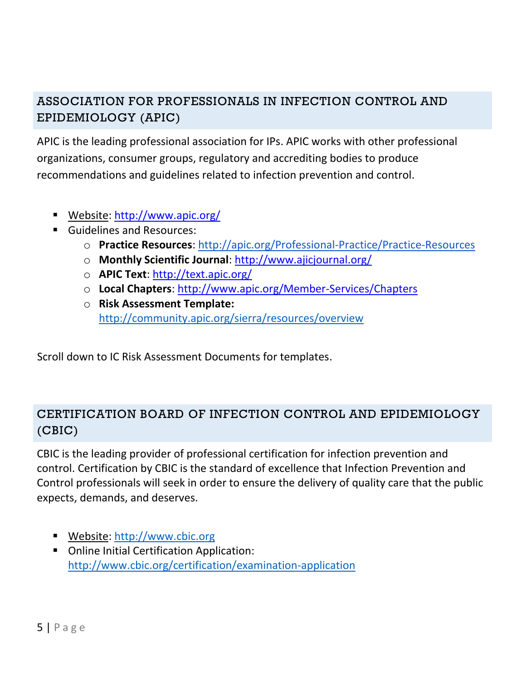# ASSOCIATION FOR PROFESSIONALS IN INFECTION CONTROL AND EPIDEMIOLOGY (APIC)

APIC is the leading professional association for IPs. APIC works with other professional organizations, consumer groups, regulatory and accrediting bodies to produce recommendations and guidelines related to infection prevention and control.

- Website:<http://www.apic.org/>
- **Guidelines and Resources:** 
	- o **Practice Resources**:<http://apic.org/Professional-Practice/Practice-Resources>
	- o **Monthly Scientific Journal**:<http://www.ajicjournal.org/>
	- o **APIC Text**:<http://text.apic.org/>
	- o **Local Chapters**:<http://www.apic.org/Member-Services/Chapters>
	- o **Risk Assessment Template:**  <http://community.apic.org/sierra/resources/overview>

Scroll down to IC Risk Assessment Documents for templates.

# CERTIFICATION BOARD OF INFECTION CONTROL AND EPIDEMIOLOGY (CBIC)

CBIC is the leading provider of professional certification for infection prevention and control. Certification by CBIC is the standard of excellence that Infection Prevention and Control professionals will seek in order to ensure the delivery of quality care that the public expects, demands, and deserves.

- Website: [http://www.cbic.org](http://www.cbic.org/)
- Online Initial Certification Application: <http://www.cbic.org/certification/examination-application>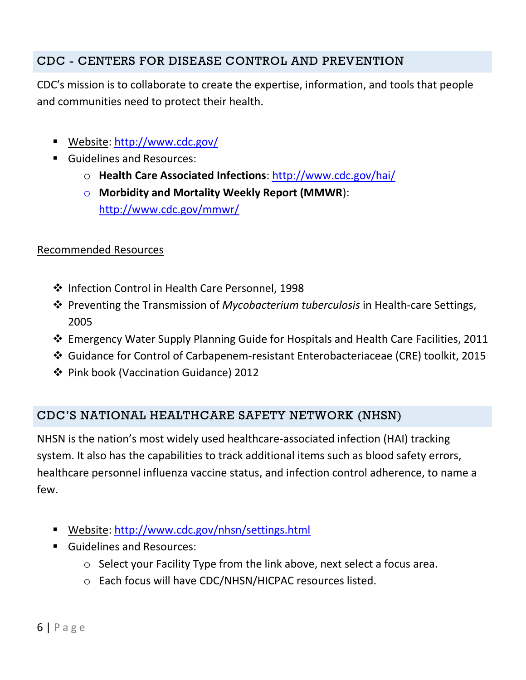## CDC - CENTERS FOR DISEASE CONTROL AND PREVENTION

CDC′s mission is to collaborate to create the expertise, information, and tools that people and communities need to protect their health.

- Website:<http://www.cdc.gov/>
- **Guidelines and Resources:** 
	- o **Health Care Associated Infections**:<http://www.cdc.gov/hai/>
	- o **Morbidity and Mortality Weekly Report (MMWR**): <http://www.cdc.gov/mmwr/>

#### Recommended Resources

- ❖ Infection Control in Health Care Personnel, 1998
- Preventing the Transmission of *Mycobacterium tuberculosis* in Health-care Settings, 2005
- Emergency Water Supply Planning Guide for Hospitals and Health Care Facilities, 2011
- Guidance for Control of Carbapenem-resistant Enterobacteriaceae (CRE) toolkit, 2015
- Pink book (Vaccination Guidance) 2012

### CDC'S NATIONAL HEALTHCARE SAFETY NETWORK (NHSN)

NHSN is the nation's most widely used healthcare-associated infection (HAI) tracking system. It also has the capabilities to track additional items such as blood safety errors, healthcare personnel influenza vaccine status, and infection control adherence, to name a few.

- Website:<http://www.cdc.gov/nhsn/settings.html>
- **Guidelines and Resources:** 
	- o Select your Facility Type from the link above, next select a focus area.
	- o Each focus will have CDC/NHSN/HICPAC resources listed.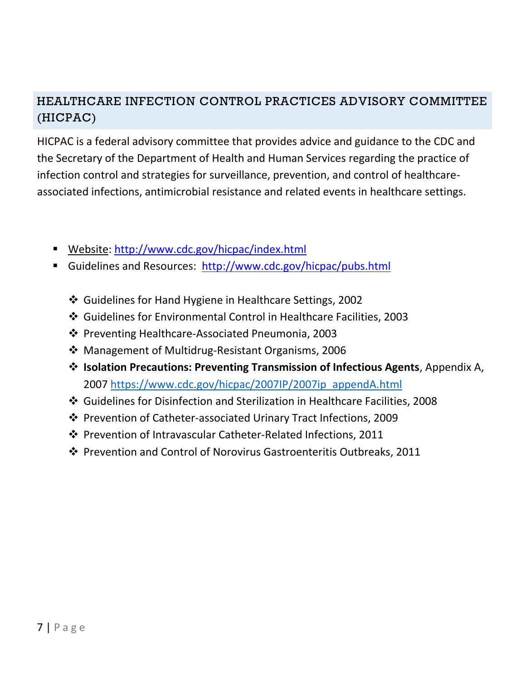# HEALTHCARE INFECTION CONTROL PRACTICES ADVISORY COMMITTEE (HICPAC)

HICPAC is a federal advisory committee that provides advice and guidance to the CDC and the Secretary of the Department of Health and Human Services regarding the practice of infection control and strategies for surveillance, prevention, and control of healthcareassociated infections, antimicrobial resistance and related events in healthcare settings.

- Website:<http://www.cdc.gov/hicpac/index.html>
- Guidelines and Resources: <http://www.cdc.gov/hicpac/pubs.html>
	- Guidelines for Hand Hygiene in Healthcare Settings, 2002
	- Guidelines for Environmental Control in Healthcare Facilities, 2003
	- Preventing Healthcare-Associated Pneumonia, 2003
	- Management of Multidrug-Resistant Organisms, 2006
	- **Isolation Precautions: Preventing Transmission of Infectious Agents**, Appendix A, 2007 [https://www.cdc.gov/hicpac/2007IP/2007ip\\_appendA.html](https://www.cdc.gov/hicpac/2007IP/2007ip_appendA.html)
	- Guidelines for Disinfection and Sterilization in Healthcare Facilities, 2008
	- Prevention of Catheter-associated Urinary Tract Infections, 2009
	- Prevention of Intravascular Catheter-Related Infections, 2011
	- Prevention and Control of Norovirus Gastroenteritis Outbreaks, 2011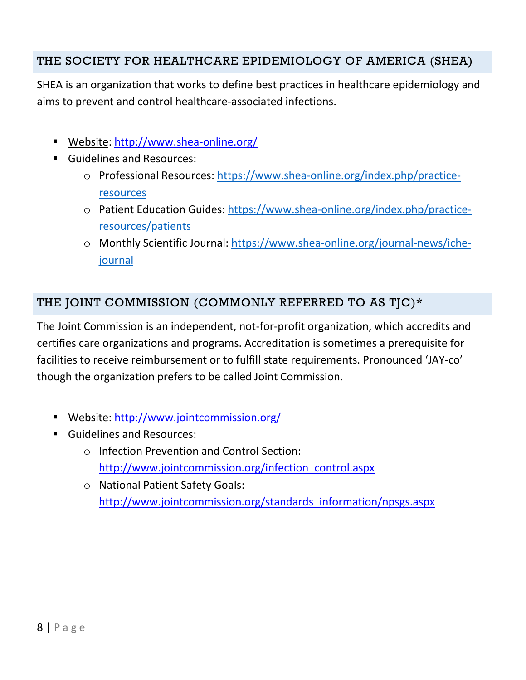## THE SOCIETY FOR HEALTHCARE EPIDEMIOLOGY OF AMERICA (SHEA)

SHEA is an organization that works to define best practices in healthcare epidemiology and aims to prevent and control healthcare-associated infections.

- Website:<http://www.shea-online.org/>
- **Guidelines and Resources:** 
	- o Professional Resources: [https://www.shea-online.org/index.php/practice](https://www.shea-online.org/index.php/practice-resources)[resources](https://www.shea-online.org/index.php/practice-resources)
	- o Patient Education Guides: [https://www.shea-online.org/index.php/practice](https://www.shea-online.org/index.php/practice-resources/patients)[resources/patients](https://www.shea-online.org/index.php/practice-resources/patients)
	- o Monthly Scientific Journal: [https://www.shea-online.org/journal-news/iche](https://www.shea-online.org/journal-news/iche-journal)[journal](https://www.shea-online.org/journal-news/iche-journal)

#### THE JOINT COMMISSION (COMMONLY REFERRED TO AS TJC)\*

The Joint Commission is an independent, not-for-profit organization, which accredits and certifies care organizations and programs. Accreditation is sometimes a prerequisite for facilities to receive reimbursement or to fulfill state requirements. Pronounced 'JAY-co' though the organization prefers to be called Joint Commission.

- Website:<http://www.jointcommission.org/>
- **Guidelines and Resources:** 
	- o Infection Prevention and Control Section: [http://www.jointcommission.org/infection\\_control.aspx](http://www.jointcommission.org/infection_control.aspx)
	- o National Patient Safety Goals: [http://www.jointcommission.org/standards\\_information/npsgs.aspx](http://www.jointcommission.org/standards_information/npsgs.aspx)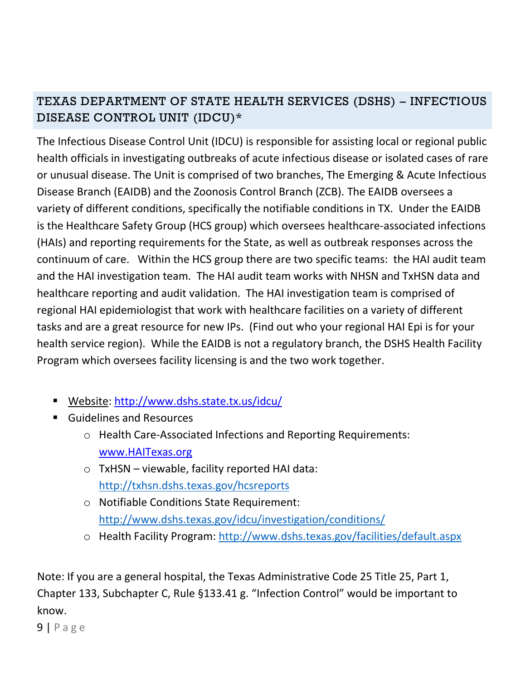# TEXAS DEPARTMENT OF STATE HEALTH SERVICES (DSHS) – INFECTIOUS DISEASE CONTROL UNIT (IDCU)\*

The Infectious Disease Control Unit (IDCU) is responsible for assisting local or regional public health officials in investigating outbreaks of acute infectious disease or isolated cases of rare or unusual disease. The Unit is comprised of two branches, The Emerging & Acute Infectious Disease Branch (EAIDB) and the Zoonosis Control Branch (ZCB). The EAIDB oversees a variety of different conditions, specifically the notifiable conditions in TX. Under the EAIDB is the Healthcare Safety Group (HCS group) which oversees healthcare-associated infections (HAIs) and reporting requirements for the State, as well as outbreak responses across the continuum of care. Within the HCS group there are two specific teams: the HAI audit team and the HAI investigation team. The HAI audit team works with NHSN and TxHSN data and healthcare reporting and audit validation. The HAI investigation team is comprised of regional HAI epidemiologist that work with healthcare facilities on a variety of different tasks and are a great resource for new IPs. (Find out who your regional HAI Epi is for your health service region). While the EAIDB is not a regulatory branch, the DSHS Health Facility Program which oversees facility licensing is and the two work together.

- Website:<http://www.dshs.state.tx.us/idcu/>
- **Guidelines and Resources** 
	- o Health Care-Associated Infections and Reporting Requirements: [www.HAITexas.org](http://www.haitexas.org/)
	- o TxHSN viewable, facility reported HAI data: <http://txhsn.dshs.texas.gov/hcsreports>
	- o Notifiable Conditions State Requirement: <http://www.dshs.texas.gov/idcu/investigation/conditions/>
	- o Health Facility Program:<http://www.dshs.texas.gov/facilities/default.aspx>

Note: If you are a general hospital, the Texas Administrative Code 25 Title 25, Part 1, Chapter 133, Subchapter C, Rule §133.41 g. "Infection Control" would be important to know.

9 | P a g e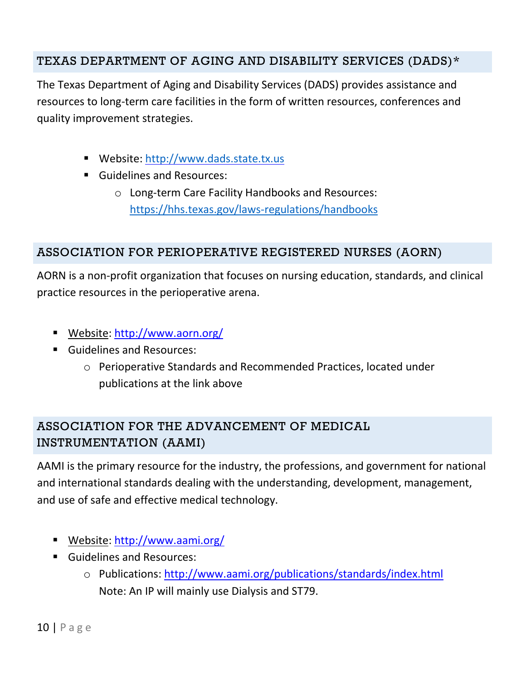## TEXAS DEPARTMENT OF AGING AND DISABILITY SERVICES (DADS)\*

The Texas Department of Aging and Disability Services (DADS) provides assistance and resources to long-term care facilities in the form of written resources, conferences and quality improvement strategies.

- Website: [http://www.dads.state.tx.us](http://www.dads.state.tx.us/)
- **Guidelines and Resources:** 
	- o Long-term Care Facility Handbooks and Resources: <https://hhs.texas.gov/laws-regulations/handbooks>

## ASSOCIATION FOR PERIOPERATIVE REGISTERED NURSES (AORN)

AORN is a non-profit organization that focuses on nursing education, standards, and clinical practice resources in the perioperative arena.

- Website:<http://www.aorn.org/>
- **Guidelines and Resources:** 
	- o Perioperative Standards and Recommended Practices, located under publications at the link above

# ASSOCIATION FOR THE ADVANCEMENT OF MEDICAL INSTRUMENTATION (AAMI)

AAMI is the primary resource for the industry, the professions, and government for national and international standards dealing with the understanding, development, management, and use of safe and effective medical technology.

- Website:<http://www.aami.org/>
- **Guidelines and Resources:** 
	- o Publications: <http://www.aami.org/publications/standards/index.html> Note: An IP will mainly use Dialysis and ST79.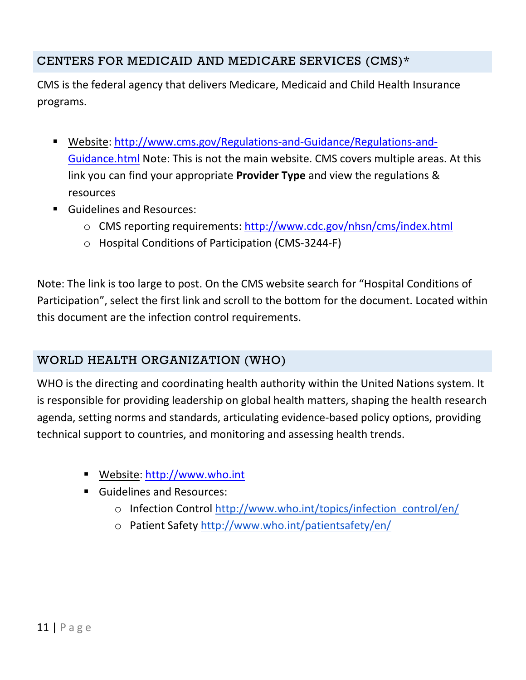## CENTERS FOR MEDICAID AND MEDICARE SERVICES (CMS)\*

CMS is the federal agency that delivers Medicare, Medicaid and Child Health Insurance programs.

- Website: [http://www.cms.gov/Regulations-and-Guidance/Regulations-and-](http://www.cms.gov/Regulations-and-Guidance/Regulations-and-Guidance.html)[Guidance.html](http://www.cms.gov/Regulations-and-Guidance/Regulations-and-Guidance.html) [N](http://www.cms.gov/Regulations-and-Guidance/Regulations-and-Guidance.html)ote: This is not the main website. CMS covers multiple areas. At this link you can find your appropriate **Provider Type** and view the regulations & resources
- **Guidelines and Resources:** 
	- o CMS reporting requirements:<http://www.cdc.gov/nhsn/cms/index.html>
	- o Hospital Conditions of Participation (CMS-3244-F)

Note: The link is too large to post. On the CMS website search for "Hospital Conditions of Participation", select the first link and scroll to the bottom for the document. Located within this document are the infection control requirements.

### WORLD HEALTH ORGANIZATION (WHO)

WHO is the directing and coordinating health authority within the United Nations system. It is responsible for providing leadership on global health matters, shaping the health research agenda, setting norms and standards, articulating evidence-based policy options, providing technical support to countries, and monitoring and assessing health trends.

- Website: [http://www.who.int](http://www.who.int/)
- **Guidelines and Resources:** 
	- o Infection Control [http://www.who.int/topics/infection\\_control/en/](http://www.who.int/topics/infection_control/en/)
	- o Patient Safety<http://www.who.int/patientsafety/en/>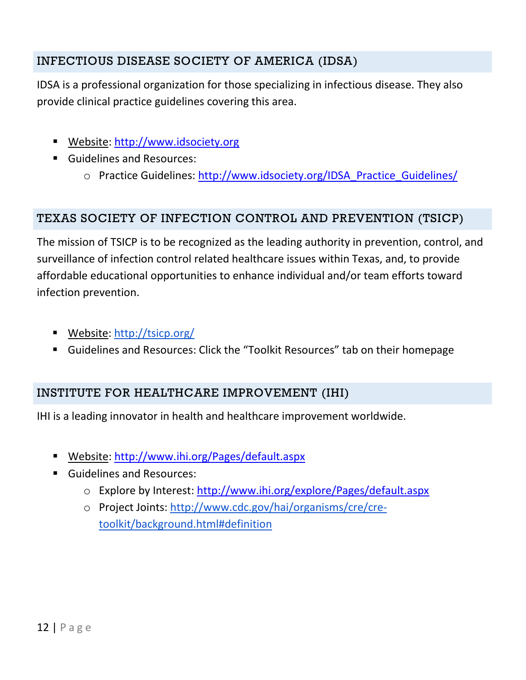# INFECTIOUS DISEASE SOCIETY OF AMERICA (IDSA)

IDSA is a professional organization for those specializing in infectious disease. They also provide clinical practice guidelines covering this area.

- Website: [http://www.idsociety.org](http://www.idsociety.org/)
- **Guidelines and Resources:** 
	- o Practice Guidelines: [http://www.idsociety.org/IDSA\\_Practice\\_Guidelines/](http://www.idsociety.org/IDSA_Practice_Guidelines/)

## TEXAS SOCIETY OF INFECTION CONTROL AND PREVENTION (TSICP)

The mission of TSICP is to be recognized as the leading authority in prevention, control, and surveillance of infection control related healthcare issues within Texas, and, to provide affordable educational opportunities to enhance individual and/or team efforts toward infection prevention.

- Website:<http://tsicp.org/>
- Guidelines and Resources: Click the "Toolkit Resources" tab on their homepage

# INSTITUTE FOR HEALTHCARE IMPROVEMENT (IHI)

IHI is a leading innovator in health and healthcare improvement worldwide.

- Website:<http://www.ihi.org/Pages/default.aspx>
- Guidelines and Resources:
	- o Explore by Interest:<http://www.ihi.org/explore/Pages/default.aspx>
	- o Project Joints: [http://www.cdc.gov/hai/organisms/cre/cre](http://www.cdc.gov/hai/organisms/cre/cre-toolkit/background.html%23definition)[toolkit/background.html#definition](http://www.cdc.gov/hai/organisms/cre/cre-toolkit/background.html%23definition)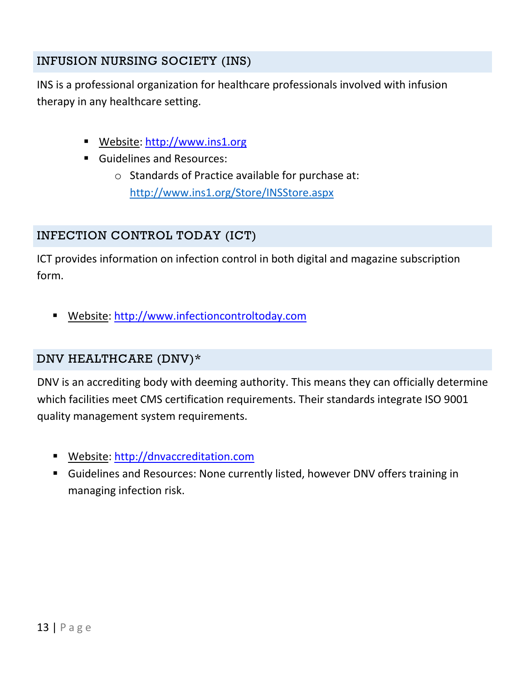## INFUSION NURSING SOCIETY (INS)

INS is a professional organization for healthcare professionals involved with infusion therapy in any healthcare setting.

- Website: [http://www.ins1.org](http://www.ins1.org/)
- **Guidelines and Resources:** 
	- o Standards of Practice available for purchase at: <http://www.ins1.org/Store/INSStore.aspx>

### INFECTION CONTROL TODAY (ICT)

ICT provides information on infection control in both digital and magazine subscription form.

Website: [http://www.infectioncontroltoday.com](http://www.infectioncontroltoday.com/)

#### DNV HEALTHCARE (DNV)\*

DNV is an accrediting body with deeming authority. This means they can officially determine which facilities meet CMS certification requirements. Their standards integrate ISO 9001 quality management system requirements.

- Website: [http://dnvaccreditation.com](http://dnvaccreditation.com/)
- Guidelines and Resources: None currently listed, however DNV offers training in managing infection risk.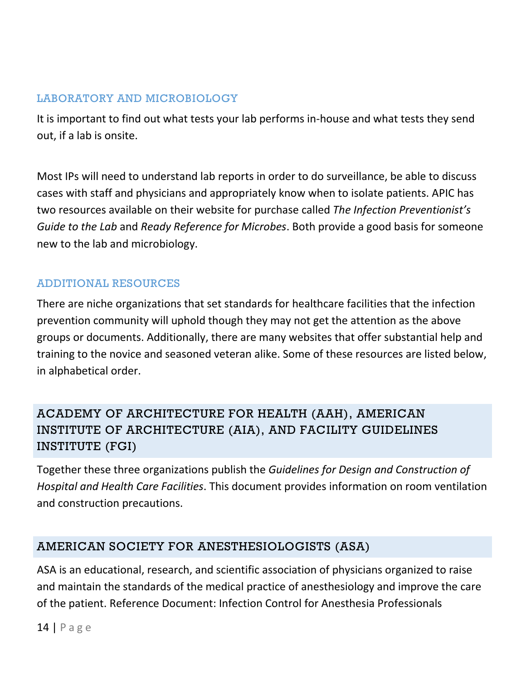#### LABORATORY AND MICROBIOLOGY

It is important to find out what tests your lab performs in-house and what tests they send out, if a lab is onsite.

Most IPs will need to understand lab reports in order to do surveillance, be able to discuss cases with staff and physicians and appropriately know when to isolate patients. APIC has two resources available on their website for purchase called *The Infection Preventionist's Guide to the Lab* and *Ready Reference for Microbes*. Both provide a good basis for someone new to the lab and microbiology.

### ADDITIONAL RESOURCES

There are niche organizations that set standards for healthcare facilities that the infection prevention community will uphold though they may not get the attention as the above groups or documents. Additionally, there are many websites that offer substantial help and training to the novice and seasoned veteran alike. Some of these resources are listed below, in alphabetical order.

# ACADEMY OF ARCHITECTURE FOR HEALTH (AAH), AMERICAN INSTITUTE OF ARCHITECTURE (AIA), AND FACILITY GUIDELINES INSTITUTE (FGI)

Together these three organizations publish the *Guidelines for Design and Construction of Hospital and Health Care Facilities*. This document provides information on room ventilation and construction precautions.

### AMERICAN SOCIETY FOR ANESTHESIOLOGISTS (ASA)

ASA is an educational, research, and scientific association of physicians organized to raise and maintain the standards of the medical practice of anesthesiology and improve the care of the patient. Reference Document: Infection Control for Anesthesia Professionals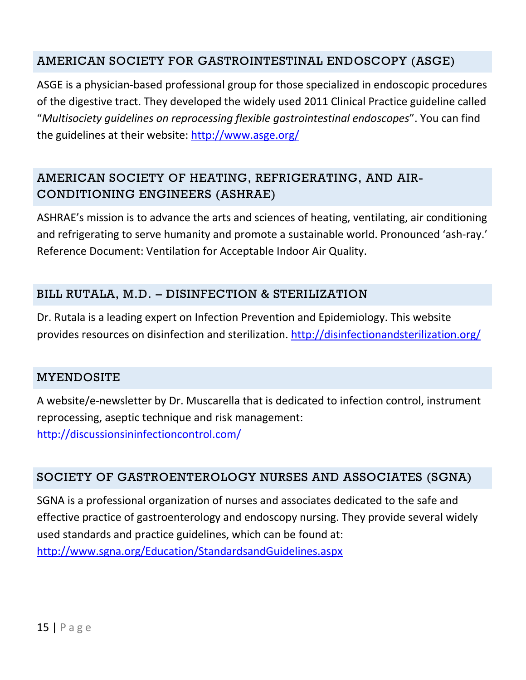## AMERICAN SOCIETY FOR GASTROINTESTINAL ENDOSCOPY (ASGE)

ASGE is a physician-based professional group for those specialized in endoscopic procedures of the digestive tract. They developed the widely used 2011 Clinical Practice guideline called "*Multisociety guidelines on reprocessing flexible gastrointestinal endoscopes*". You can find the guidelines at their website:<http://www.asge.org/>

# AMERICAN SOCIETY OF HEATING, REFRIGERATING, AND AIR-CONDITIONING ENGINEERS (ASHRAE)

ASHRAE's mission is to advance the arts and sciences of heating, ventilating, air conditioning and refrigerating to serve humanity and promote a sustainable world. Pronounced 'ash-ray.' Reference Document: Ventilation for Acceptable Indoor Air Quality.

### BILL RUTALA, M.D. – DISINFECTION & STERILIZATION

Dr. Rutala is a leading expert on Infection Prevention and Epidemiology. This website provides resources on disinfection and sterilization.<http://disinfectionandsterilization.org/>

#### MYENDOSITE

A website/e-newsletter by Dr. Muscarella that is dedicated to infection control, instrument reprocessing, aseptic technique and risk management: <http://discussionsininfectioncontrol.com/>

### SOCIETY OF GASTROENTEROLOGY NURSES AND ASSOCIATES (SGNA)

SGNA is a professional organization of nurses and associates dedicated to the safe and effective practice of gastroenterology and endoscopy nursing. They provide several widely used standards and practice guidelines, which can be found at: <http://www.sgna.org/Education/StandardsandGuidelines.aspx>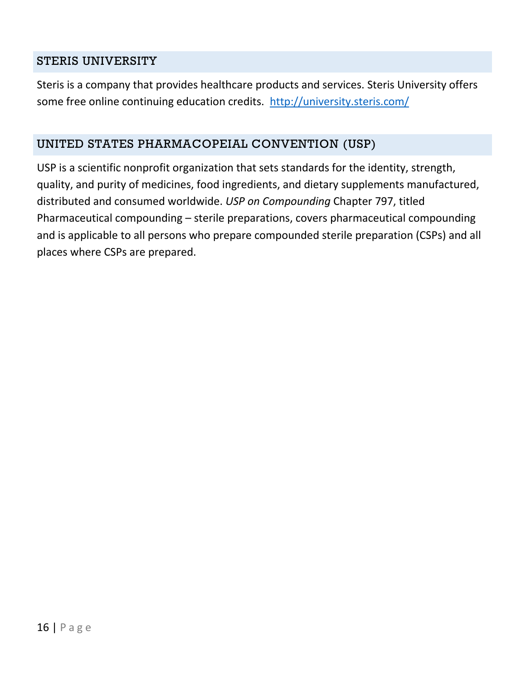#### STERIS UNIVERSITY

Steris is a company that provides healthcare products and services. Steris University offers some free online continuing education credits. <http://university.steris.com/>

#### UNITED STATES PHARMACOPEIAL CONVENTION (USP)

USP is a scientific nonprofit organization that sets standards for the identity, strength, quality, and purity of medicines, food ingredients, and dietary supplements manufactured, distributed and consumed worldwide. *USP on Compounding* Chapter 797, titled Pharmaceutical compounding – sterile preparations, covers pharmaceutical compounding and is applicable to all persons who prepare compounded sterile preparation (CSPs) and all places where CSPs are prepared.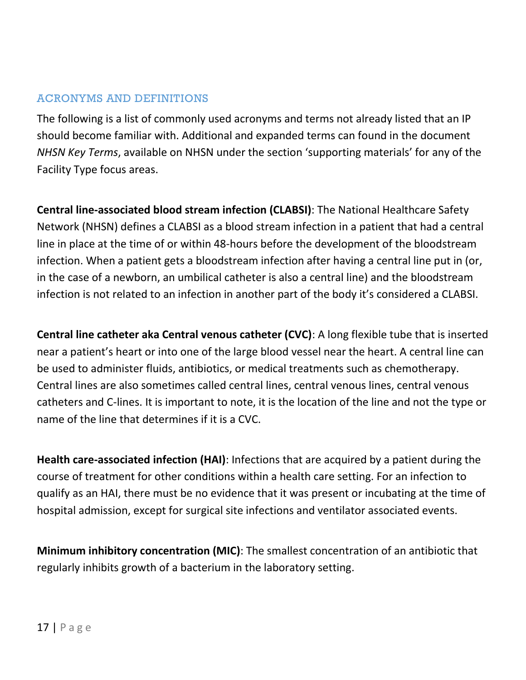#### ACRONYMS AND DEFINITIONS

The following is a list of commonly used acronyms and terms not already listed that an IP should become familiar with. Additional and expanded terms can found in the document *NHSN Key Terms*, available on NHSN under the section 'supporting materials' for any of the Facility Type focus areas.

**Central line-associated blood stream infection (CLABSI)**: The National Healthcare Safety Network (NHSN) defines a CLABSI as a blood stream infection in a patient that had a central line in place at the time of or within 48-hours before the development of the bloodstream infection. When a patient gets a bloodstream infection after having a central line put in (or, in the case of a newborn, an umbilical catheter is also a central line) and the bloodstream infection is not related to an infection in another part of the body it's considered a CLABSI.

**Central line catheter aka Central venous catheter (CVC)**: A long flexible tube that is inserted near a patient's heart or into one of the large blood vessel near the heart. A central line can be used to administer fluids, antibiotics, or medical treatments such as chemotherapy. Central lines are also sometimes called central lines, central venous lines, central venous catheters and C-lines. It is important to note, it is the location of the line and not the type or name of the line that determines if it is a CVC.

**Health care-associated infection (HAI)**: Infections that are acquired by a patient during the course of treatment for other conditions within a health care setting. For an infection to qualify as an HAI, there must be no evidence that it was present or incubating at the time of hospital admission, except for surgical site infections and ventilator associated events.

**Minimum inhibitory concentration (MIC)**: The smallest concentration of an antibiotic that regularly inhibits growth of a bacterium in the laboratory setting.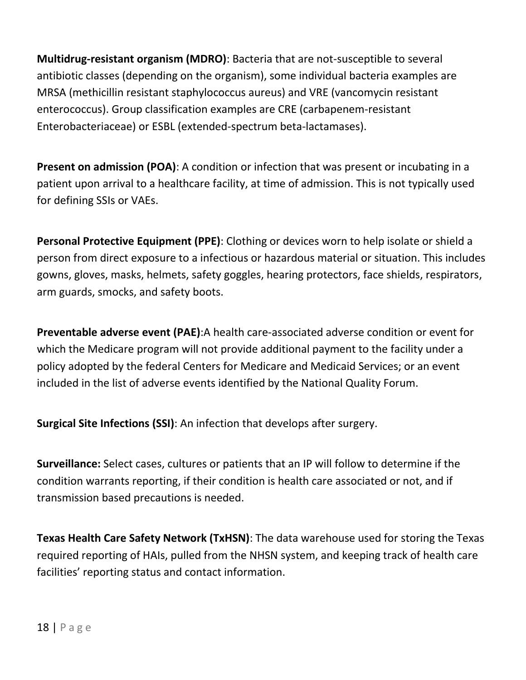**Multidrug-resistant organism (MDRO)**: Bacteria that are not-susceptible to several antibiotic classes (depending on the organism), some individual bacteria examples are MRSA (methicillin resistant staphylococcus aureus) and VRE (vancomycin resistant enterococcus). Group classification examples are CRE (carbapenem-resistant Enterobacteriaceae) or ESBL (extended-spectrum beta-lactamases).

**Present on admission (POA)**: A condition or infection that was present or incubating in a patient upon arrival to a healthcare facility, at time of admission. This is not typically used for defining SSIs or VAEs.

**Personal Protective Equipment (PPE)**: Clothing or devices worn to help isolate or shield a person from direct exposure to a infectious or hazardous material or situation. This includes gowns, gloves, masks, helmets, safety goggles, hearing protectors, face shields, respirators, arm guards, smocks, and safety boots.

**Preventable adverse event (PAE)**:A health care-associated adverse condition or event for which the Medicare program will not provide additional payment to the facility under a policy adopted by the federal Centers for Medicare and Medicaid Services; or an event included in the list of adverse events identified by the National Quality Forum.

**Surgical Site Infections (SSI)**: An infection that develops after surgery.

**Surveillance:** Select cases, cultures or patients that an IP will follow to determine if the condition warrants reporting, if their condition is health care associated or not, and if transmission based precautions is needed.

**Texas Health Care Safety Network (TxHSN)**: The data warehouse used for storing the Texas required reporting of HAIs, pulled from the NHSN system, and keeping track of health care facilities' reporting status and contact information.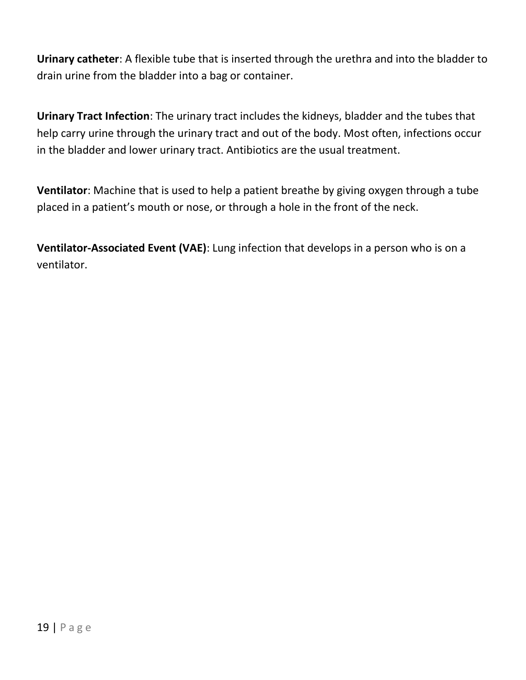**Urinary catheter**: A flexible tube that is inserted through the urethra and into the bladder to drain urine from the bladder into a bag or container.

**Urinary Tract Infection**: The urinary tract includes the kidneys, bladder and the tubes that help carry urine through the urinary tract and out of the body. Most often, infections occur in the bladder and lower urinary tract. Antibiotics are the usual treatment.

**Ventilator**: Machine that is used to help a patient breathe by giving oxygen through a tube placed in a patient's mouth or nose, or through a hole in the front of the neck.

**Ventilator-Associated Event (VAE)**: Lung infection that develops in a person who is on a ventilator.